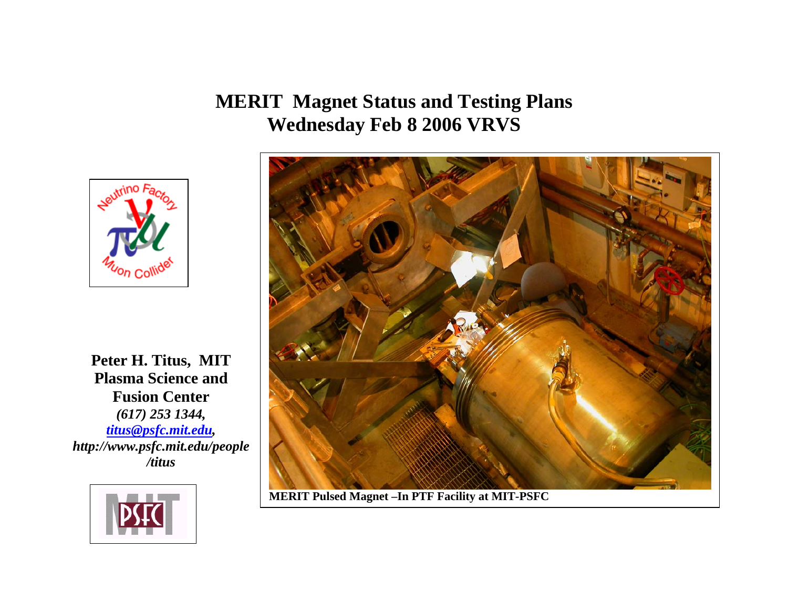**MERIT Magnet Status and Testing Plans Wednesday Feb 8 2006 VRVS**



**Peter H. Titus, MIT Plasma Science and Fusion Center**  *(617) 253 1344, titus@psfc.mit.edu, http://www.psfc.mit.edu/people /titus*





**MERIT Pulsed Magnet –In PTF Facility at MIT-PSFC**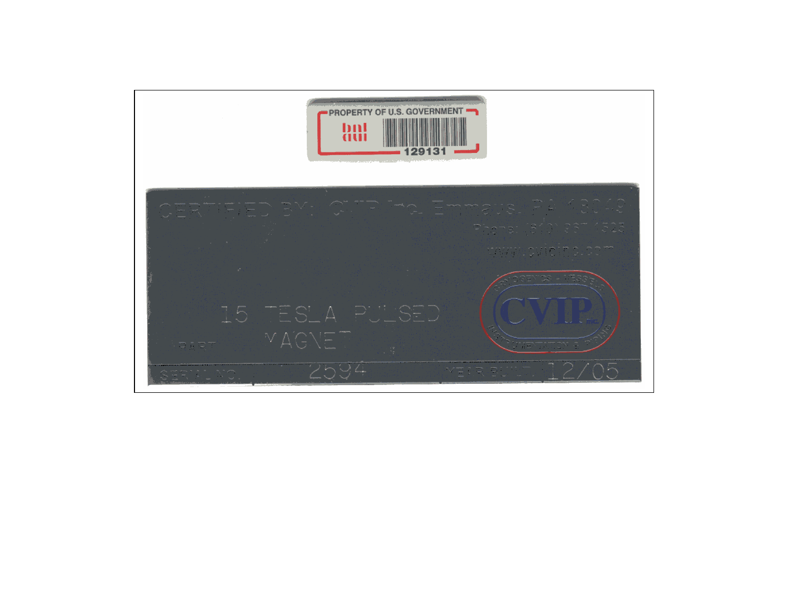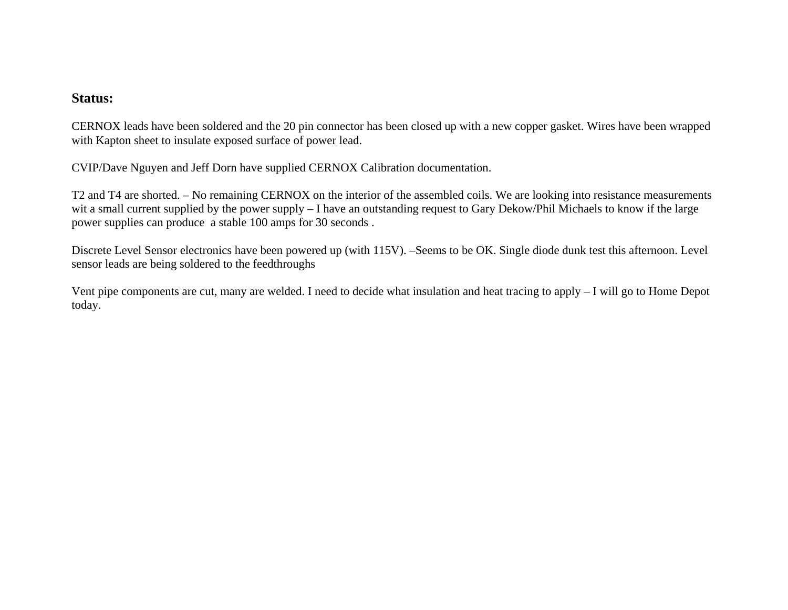## **Status:**

CERNOX leads have been soldered and the 20 pin connector has been closed up with a new copper gasket. Wires have been wrapped with Kapton sheet to insulate exposed surface of power lead.

CVIP/Dave Nguyen and Jeff Dorn have supplied CERNOX Calibration documentation.

T2 and T4 are shorted. – No remaining CERNOX on the interior of the assembled coils. We are looking into resistance measurements wit a small current supplied by the power supply – I have an outstanding request to Gary Dekow/Phil Michaels to know if the large power supplies can produce a stable 100 amps for 30 seconds .

Discrete Level Sensor electronics have been powered up (with 115V). –Seems to be OK. Single diode dunk test this afternoon. Level sensor leads are being soldered to the feedthroughs

Vent pipe components are cut, many are welded. I need to decide what insulation and heat tracing to apply – I will go to Home Depot today.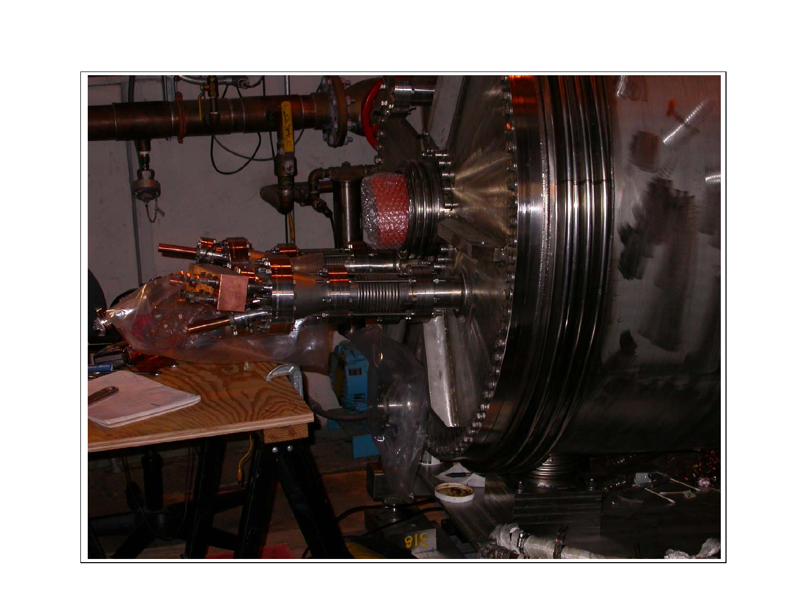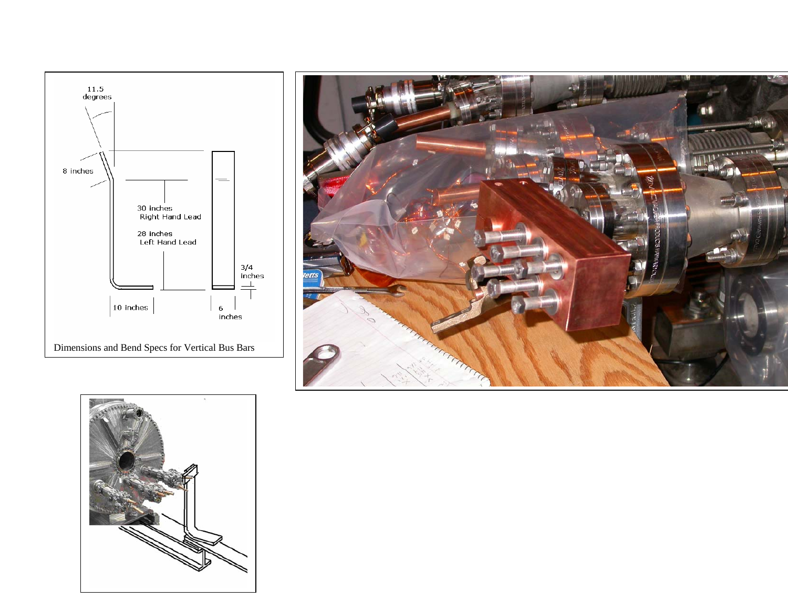



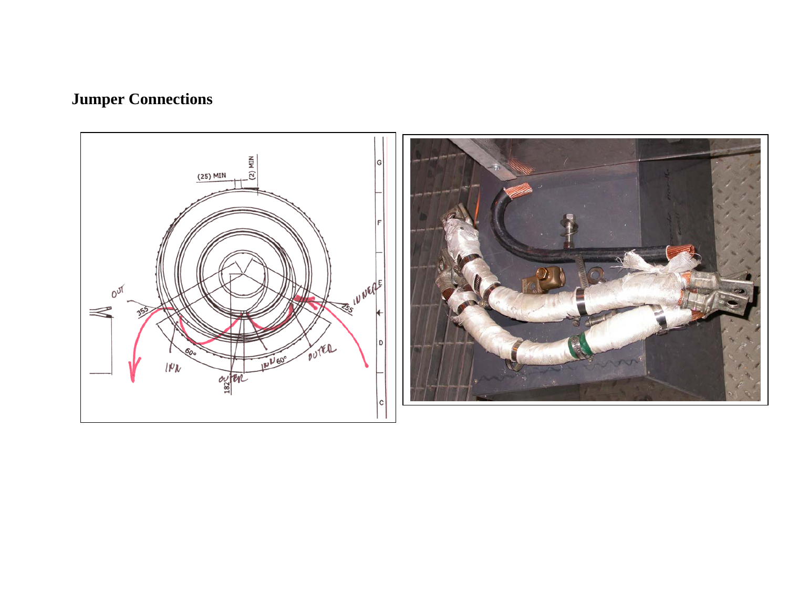# **Jumper Connections**

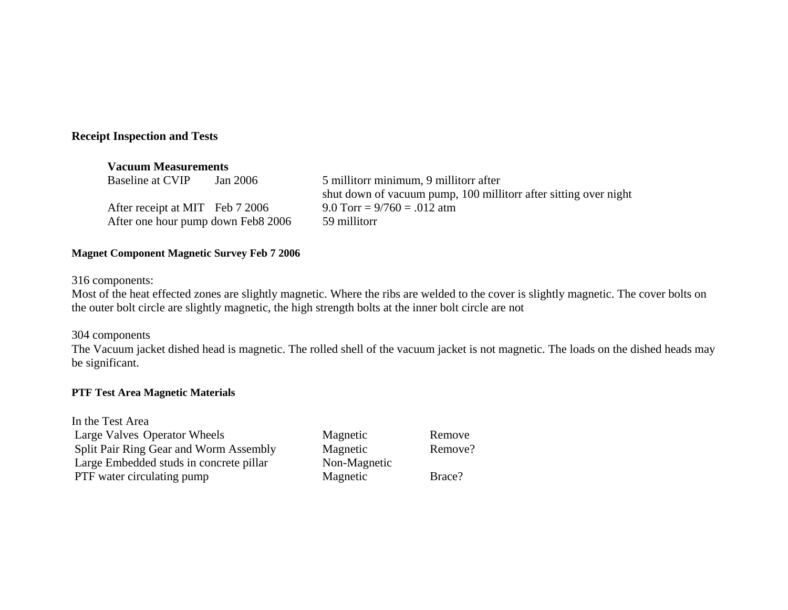### **Receipt Inspection and Tests**

## **Vacuum Measurements**

| Baseline at CVIP                   | Jan 2006 | 5 millitor minimum, 9 millitor after                             |
|------------------------------------|----------|------------------------------------------------------------------|
|                                    |          | shut down of vacuum pump, 100 millitorr after sitting over night |
| After receipt at MIT Feb 7 2006    |          | 9.0 Torr = $9/760 = .012$ atm                                    |
| After one hour pump down Feb8 2006 |          | 59 millitorr                                                     |

#### **Magnet Component Magnetic Survey Feb 7 2006**

#### 316 components:

Most of the heat effected zones are slightly magnetic. Where the ribs are welded to the cover is slightly magnetic. The cover bolts on the outer bolt circle are slightly magnetic, the high strength bolts at the inner bolt circle are not

#### 304 components

The Vacuum jacket dished head is magnetic. The rolled shell of the vacuum jacket is not magnetic. The loads on the dished heads may be significant.

#### **PTF Test Area Magnetic Materials**

In the Test Area Large Valves Operator Wheels<br>
Solit Pair Ring Gear and Worm Assembly<br>
Magnetic Remove? Split Pair Ring Gear and Worm Assembly Magnetic Large Embedded studs in concrete pillar Non-Magnetic PTF water circulating pump Magnetic Brace?